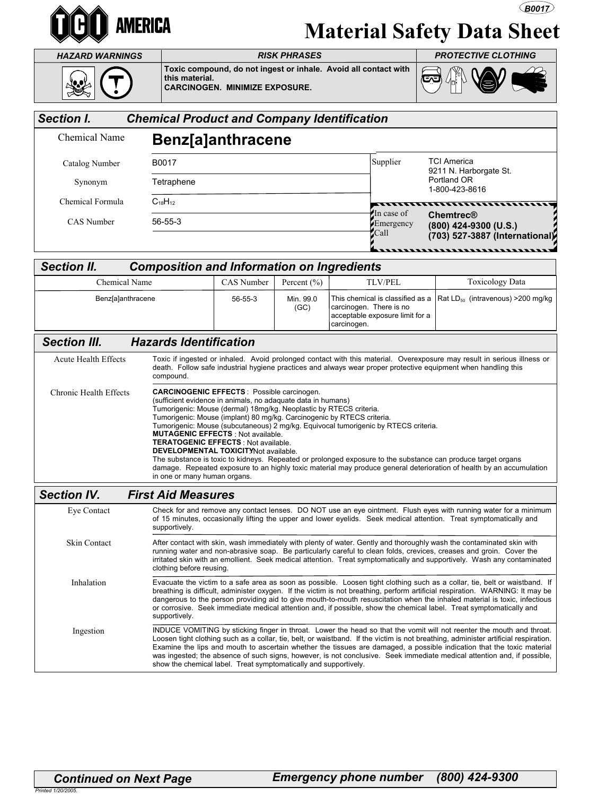

## Material Safety Data Sheet

**B0017** 

| <b>HAZARD WARNINGS</b>                                |                                                                                                                                                                                                                                                                                                                                                                                                                                                                                                                                                                                                                                               | <b>RISK PHRASES</b>                                                                                      |                   |                                        |                                 | <b>PROTECTIVE CLOTHING</b>                                                              |  |
|-------------------------------------------------------|-----------------------------------------------------------------------------------------------------------------------------------------------------------------------------------------------------------------------------------------------------------------------------------------------------------------------------------------------------------------------------------------------------------------------------------------------------------------------------------------------------------------------------------------------------------------------------------------------------------------------------------------------|----------------------------------------------------------------------------------------------------------|-------------------|----------------------------------------|---------------------------------|-----------------------------------------------------------------------------------------|--|
|                                                       | this material.                                                                                                                                                                                                                                                                                                                                                                                                                                                                                                                                                                                                                                | Toxic compound, do not ingest or inhale. Avoid all contact with<br><b>CARCINOGEN. MINIMIZE EXPOSURE.</b> |                   |                                        |                                 |                                                                                         |  |
| <b>Section I.</b>                                     | <b>Chemical Product and Company Identification</b>                                                                                                                                                                                                                                                                                                                                                                                                                                                                                                                                                                                            |                                                                                                          |                   |                                        |                                 |                                                                                         |  |
| Chemical Name                                         | Benz[a]anthracene                                                                                                                                                                                                                                                                                                                                                                                                                                                                                                                                                                                                                             |                                                                                                          |                   |                                        |                                 |                                                                                         |  |
| Catalog Number                                        | B0017                                                                                                                                                                                                                                                                                                                                                                                                                                                                                                                                                                                                                                         |                                                                                                          |                   |                                        | Supplier                        | <b>TCI America</b><br>9211 N. Harborgate St.<br>Portland OR<br>1-800-423-8616           |  |
| Synonym                                               | Tetraphene                                                                                                                                                                                                                                                                                                                                                                                                                                                                                                                                                                                                                                    |                                                                                                          |                   |                                        |                                 |                                                                                         |  |
| Chemical Formula                                      | $C_{18}H_{12}$                                                                                                                                                                                                                                                                                                                                                                                                                                                                                                                                                                                                                                |                                                                                                          |                   |                                        | In case of                      | ,,,,,,,,,,,,,,,                                                                         |  |
| CAS Number                                            | $56 - 55 - 3$                                                                                                                                                                                                                                                                                                                                                                                                                                                                                                                                                                                                                                 |                                                                                                          |                   |                                        | Emergency<br>Call               | Chemtrec®<br>(800) 424-9300 (U.S.)<br>(703) 527-3887 (International)<br>,,,,,,,,,,,,,,, |  |
| <b>Section II.</b>                                    | <b>Composition and Information on Ingredients</b>                                                                                                                                                                                                                                                                                                                                                                                                                                                                                                                                                                                             |                                                                                                          |                   |                                        |                                 |                                                                                         |  |
| <b>Chemical Name</b>                                  |                                                                                                                                                                                                                                                                                                                                                                                                                                                                                                                                                                                                                                               | <b>CAS</b> Number                                                                                        | Percent $(\% )$   |                                        | <b>TLV/PEL</b>                  | <b>Toxicology Data</b>                                                                  |  |
| Benz[a]anthracene                                     |                                                                                                                                                                                                                                                                                                                                                                                                                                                                                                                                                                                                                                               | 56-55-3                                                                                                  | Min. 99.0<br>(GC) | carcinogen. There is no<br>carcinogen. | acceptable exposure limit for a | This chemical is classified as a $\vert$ Rat LD <sub>50</sub> (intravenous) > 200 mg/kg |  |
| <b>Section III.</b>                                   | <b>Hazards Identification</b>                                                                                                                                                                                                                                                                                                                                                                                                                                                                                                                                                                                                                 |                                                                                                          |                   |                                        |                                 |                                                                                         |  |
| <b>Acute Health Effects</b><br>Chronic Health Effects | Toxic if ingested or inhaled. Avoid prolonged contact with this material. Overexposure may result in serious illness or<br>death. Follow safe industrial hygiene practices and always wear proper protective equipment when handling this<br>compound.<br><b>CARCINOGENIC EFFECTS: Possible carcinogen.</b><br>(sufficient evidence in animals, no adaquate data in humans)                                                                                                                                                                                                                                                                   |                                                                                                          |                   |                                        |                                 |                                                                                         |  |
|                                                       | Tumorigenic: Mouse (dermal) 18mg/kg. Neoplastic by RTECS criteria.<br>Tumorigenic: Mouse (implant) 80 mg/kg. Carcinogenic by RTECS criteria.<br>Tumorigenic: Mouse (subcutaneous) 2 mg/kg. Equivocal tumorigenic by RTECS criteria.<br><b>MUTAGENIC EFFECTS: Not available.</b><br><b>TERATOGENIC EFFECTS: Not available.</b><br>DEVELOPMENTAL TOXICITYNot available.<br>The substance is toxic to kidneys. Repeated or prolonged exposure to the substance can produce target organs<br>damage. Repeated exposure to an highly toxic material may produce general deterioration of health by an accumulation<br>in one or many human organs. |                                                                                                          |                   |                                        |                                 |                                                                                         |  |
| <b>Section IV.</b>                                    | <b>First Aid Measures</b>                                                                                                                                                                                                                                                                                                                                                                                                                                                                                                                                                                                                                     |                                                                                                          |                   |                                        |                                 |                                                                                         |  |
| Eye Contact                                           | Check for and remove any contact lenses. DO NOT use an eye ointment. Flush eyes with running water for a minimum<br>of 15 minutes, occasionally lifting the upper and lower eyelids. Seek medical attention. Treat symptomatically and<br>supportively.                                                                                                                                                                                                                                                                                                                                                                                       |                                                                                                          |                   |                                        |                                 |                                                                                         |  |
| Skin Contact                                          | After contact with skin, wash immediately with plenty of water. Gently and thoroughly wash the contaminated skin with<br>running water and non-abrasive soap. Be particularly careful to clean folds, crevices, creases and groin. Cover the<br>irritated skin with an emollient. Seek medical attention. Treat symptomatically and supportively. Wash any contaminated<br>clothing before reusing.                                                                                                                                                                                                                                           |                                                                                                          |                   |                                        |                                 |                                                                                         |  |
| Inhalation                                            | Evacuate the victim to a safe area as soon as possible. Loosen tight clothing such as a collar, tie, belt or waistband. If<br>breathing is difficult, administer oxygen. If the victim is not breathing, perform artificial respiration. WARNING: It may be<br>dangerous to the person providing aid to give mouth-to-mouth resuscitation when the inhaled material is toxic, infectious<br>or corrosive. Seek immediate medical attention and, if possible, show the chemical label. Treat symptomatically and<br>supportively.                                                                                                              |                                                                                                          |                   |                                        |                                 |                                                                                         |  |
| Ingestion                                             | INDUCE VOMITING by sticking finger in throat. Lower the head so that the vomit will not reenter the mouth and throat.<br>Loosen tight clothing such as a collar, tie, belt, or waistband. If the victim is not breathing, administer artificial respiration.<br>Examine the lips and mouth to ascertain whether the tissues are damaged, a possible indication that the toxic material<br>was ingested; the absence of such signs, however, is not conclusive. Seek immediate medical attention and, if possible,<br>show the chemical label. Treat symptomatically and supportively.                                                         |                                                                                                          |                   |                                        |                                 |                                                                                         |  |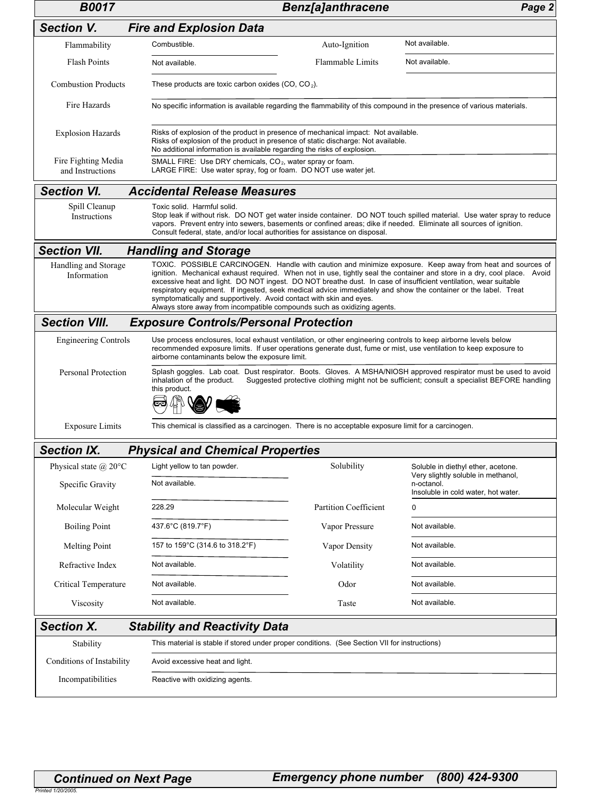| <b>B0017</b>                            |                                                                                                                                                                                                                                                                                                                                                                                                                                                                                                                                                                                                                               | <b>Benz[a]anthracene</b>                                                                             | Page 2                                                                                  |  |  |  |
|-----------------------------------------|-------------------------------------------------------------------------------------------------------------------------------------------------------------------------------------------------------------------------------------------------------------------------------------------------------------------------------------------------------------------------------------------------------------------------------------------------------------------------------------------------------------------------------------------------------------------------------------------------------------------------------|------------------------------------------------------------------------------------------------------|-----------------------------------------------------------------------------------------|--|--|--|
| <b>Section V.</b>                       | <b>Fire and Explosion Data</b>                                                                                                                                                                                                                                                                                                                                                                                                                                                                                                                                                                                                |                                                                                                      |                                                                                         |  |  |  |
| Flammability                            | Combustible.                                                                                                                                                                                                                                                                                                                                                                                                                                                                                                                                                                                                                  | Auto-Ignition                                                                                        | Not available.                                                                          |  |  |  |
| Flash Points                            | Not available.                                                                                                                                                                                                                                                                                                                                                                                                                                                                                                                                                                                                                | Flammable Limits                                                                                     | Not available.                                                                          |  |  |  |
| <b>Combustion Products</b>              | These products are toxic carbon oxides $(CO, CO2)$ .                                                                                                                                                                                                                                                                                                                                                                                                                                                                                                                                                                          |                                                                                                      |                                                                                         |  |  |  |
| Fire Hazards                            | No specific information is available regarding the flammability of this compound in the presence of various materials.                                                                                                                                                                                                                                                                                                                                                                                                                                                                                                        |                                                                                                      |                                                                                         |  |  |  |
| <b>Explosion Hazards</b>                | Risks of explosion of the product in presence of mechanical impact: Not available.<br>Risks of explosion of the product in presence of static discharge: Not available.<br>No additional information is available regarding the risks of explosion.                                                                                                                                                                                                                                                                                                                                                                           |                                                                                                      |                                                                                         |  |  |  |
| Fire Fighting Media<br>and Instructions | SMALL FIRE: Use DRY chemicals, CO <sub>2</sub> , water spray or foam.<br>LARGE FIRE: Use water spray, fog or foam. DO NOT use water jet.                                                                                                                                                                                                                                                                                                                                                                                                                                                                                      |                                                                                                      |                                                                                         |  |  |  |
| <b>Section VI.</b>                      | <b>Accidental Release Measures</b>                                                                                                                                                                                                                                                                                                                                                                                                                                                                                                                                                                                            |                                                                                                      |                                                                                         |  |  |  |
| Spill Cleanup<br>Instructions           | Toxic solid. Harmful solid.<br>Stop leak if without risk. DO NOT get water inside container. DO NOT touch spilled material. Use water spray to reduce<br>vapors. Prevent entry into sewers, basements or confined areas; dike if needed. Eliminate all sources of ignition.<br>Consult federal, state, and/or local authorities for assistance on disposal.                                                                                                                                                                                                                                                                   |                                                                                                      |                                                                                         |  |  |  |
| <b>Section VII.</b>                     | <b>Handling and Storage</b>                                                                                                                                                                                                                                                                                                                                                                                                                                                                                                                                                                                                   |                                                                                                      |                                                                                         |  |  |  |
| Handling and Storage<br>Information     | TOXIC. POSSIBLE CARCINOGEN. Handle with caution and minimize exposure. Keep away from heat and sources of<br>ignition. Mechanical exhaust required. When not in use, tightly seal the container and store in a dry, cool place. Avoid<br>excessive heat and light. DO NOT ingest. DO NOT breathe dust. In case of insufficient ventilation, wear suitable<br>respiratory equipment. If ingested, seek medical advice immediately and show the container or the label. Treat<br>symptomatically and supportively. Avoid contact with skin and eyes.<br>Always store away from incompatible compounds such as oxidizing agents. |                                                                                                      |                                                                                         |  |  |  |
| <b>Section VIII.</b>                    | <b>Exposure Controls/Personal Protection</b>                                                                                                                                                                                                                                                                                                                                                                                                                                                                                                                                                                                  |                                                                                                      |                                                                                         |  |  |  |
| <b>Engineering Controls</b>             | Use process enclosures, local exhaust ventilation, or other engineering controls to keep airborne levels below<br>recommended exposure limits. If user operations generate dust, fume or mist, use ventilation to keep exposure to<br>airborne contaminants below the exposure limit.                                                                                                                                                                                                                                                                                                                                         |                                                                                                      |                                                                                         |  |  |  |
| Personal Protection                     | Splash goggles. Lab coat. Dust respirator. Boots. Gloves. A MSHA/NIOSH approved respirator must be used to avoid<br>Suggested protective clothing might not be sufficient; consult a specialist BEFORE handling<br>inhalation of the product.<br>this product.                                                                                                                                                                                                                                                                                                                                                                |                                                                                                      |                                                                                         |  |  |  |
| <b>Exposure Limits</b>                  |                                                                                                                                                                                                                                                                                                                                                                                                                                                                                                                                                                                                                               | This chemical is classified as a carcinogen. There is no acceptable exposure limit for a carcinogen. |                                                                                         |  |  |  |
| Section IX.                             | <b>Physical and Chemical Properties</b>                                                                                                                                                                                                                                                                                                                                                                                                                                                                                                                                                                                       |                                                                                                      |                                                                                         |  |  |  |
|                                         |                                                                                                                                                                                                                                                                                                                                                                                                                                                                                                                                                                                                                               |                                                                                                      |                                                                                         |  |  |  |
| Physical state $\omega$ 20°C            | Light yellow to tan powder.                                                                                                                                                                                                                                                                                                                                                                                                                                                                                                                                                                                                   | Solubility                                                                                           | Soluble in diethyl ether, acetone.                                                      |  |  |  |
| Specific Gravity                        | Not available.                                                                                                                                                                                                                                                                                                                                                                                                                                                                                                                                                                                                                |                                                                                                      | Very slightly soluble in methanol,<br>n-octanol.<br>Insoluble in cold water, hot water. |  |  |  |
| Molecular Weight                        | 228.29                                                                                                                                                                                                                                                                                                                                                                                                                                                                                                                                                                                                                        | <b>Partition Coefficient</b>                                                                         | 0                                                                                       |  |  |  |
| <b>Boiling Point</b>                    | 437.6°C (819.7°F)                                                                                                                                                                                                                                                                                                                                                                                                                                                                                                                                                                                                             | Vapor Pressure                                                                                       | Not available.                                                                          |  |  |  |
| Melting Point                           | 157 to 159°C (314.6 to 318.2°F)                                                                                                                                                                                                                                                                                                                                                                                                                                                                                                                                                                                               | Vapor Density                                                                                        | Not available.                                                                          |  |  |  |
| Refractive Index                        | Not available.                                                                                                                                                                                                                                                                                                                                                                                                                                                                                                                                                                                                                | Volatility                                                                                           | Not available.                                                                          |  |  |  |
| Critical Temperature                    | Not available.                                                                                                                                                                                                                                                                                                                                                                                                                                                                                                                                                                                                                | Odor                                                                                                 | Not available.                                                                          |  |  |  |
| Viscosity                               | Not available.                                                                                                                                                                                                                                                                                                                                                                                                                                                                                                                                                                                                                | Taste                                                                                                | Not available.                                                                          |  |  |  |
| <b>Section X.</b>                       | <b>Stability and Reactivity Data</b>                                                                                                                                                                                                                                                                                                                                                                                                                                                                                                                                                                                          |                                                                                                      |                                                                                         |  |  |  |
| Stability                               | This material is stable if stored under proper conditions. (See Section VII for instructions)                                                                                                                                                                                                                                                                                                                                                                                                                                                                                                                                 |                                                                                                      |                                                                                         |  |  |  |
| Conditions of Instability               | Avoid excessive heat and light.                                                                                                                                                                                                                                                                                                                                                                                                                                                                                                                                                                                               |                                                                                                      |                                                                                         |  |  |  |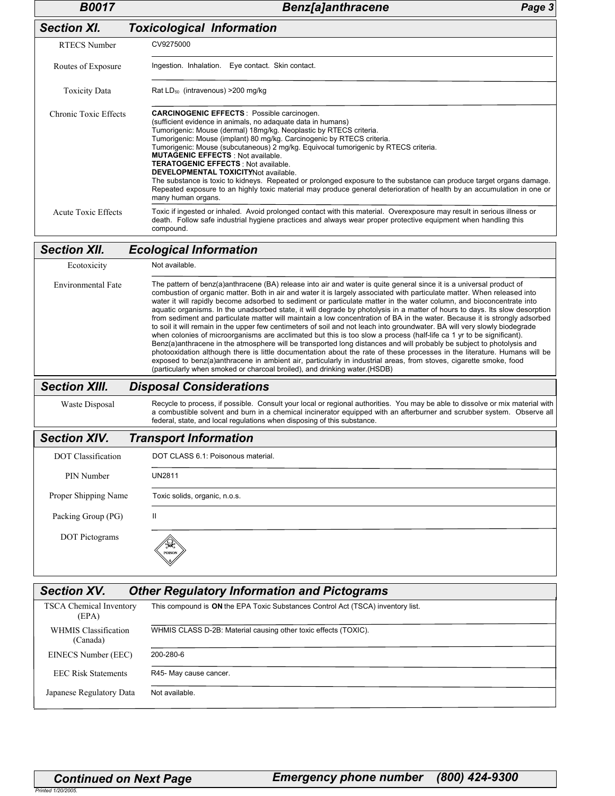| <b>B0017</b>                     | <b>Benz[a]anthracene</b><br>Page 3                                                                                                                                                                                                                                                                                                                                                                                                                                                                                                                                                                                                                                                                                                                                                                                                                                                                                                                                                                                                                                                                                                                                                                                                                                                                                                                   |  |  |  |  |
|----------------------------------|------------------------------------------------------------------------------------------------------------------------------------------------------------------------------------------------------------------------------------------------------------------------------------------------------------------------------------------------------------------------------------------------------------------------------------------------------------------------------------------------------------------------------------------------------------------------------------------------------------------------------------------------------------------------------------------------------------------------------------------------------------------------------------------------------------------------------------------------------------------------------------------------------------------------------------------------------------------------------------------------------------------------------------------------------------------------------------------------------------------------------------------------------------------------------------------------------------------------------------------------------------------------------------------------------------------------------------------------------|--|--|--|--|
| <b>Section XI.</b>               | <b>Toxicological Information</b>                                                                                                                                                                                                                                                                                                                                                                                                                                                                                                                                                                                                                                                                                                                                                                                                                                                                                                                                                                                                                                                                                                                                                                                                                                                                                                                     |  |  |  |  |
| <b>RTECS Number</b>              | CV9275000                                                                                                                                                                                                                                                                                                                                                                                                                                                                                                                                                                                                                                                                                                                                                                                                                                                                                                                                                                                                                                                                                                                                                                                                                                                                                                                                            |  |  |  |  |
| Routes of Exposure               | Ingestion. Inhalation. Eye contact. Skin contact.                                                                                                                                                                                                                                                                                                                                                                                                                                                                                                                                                                                                                                                                                                                                                                                                                                                                                                                                                                                                                                                                                                                                                                                                                                                                                                    |  |  |  |  |
| <b>Toxicity Data</b>             | Rat $LD_{50}$ (intravenous) > 200 mg/kg                                                                                                                                                                                                                                                                                                                                                                                                                                                                                                                                                                                                                                                                                                                                                                                                                                                                                                                                                                                                                                                                                                                                                                                                                                                                                                              |  |  |  |  |
| <b>Chronic Toxic Effects</b>     | <b>CARCINOGENIC EFFECTS: Possible carcinogen.</b><br>(sufficient evidence in animals, no adaquate data in humans)<br>Tumorigenic: Mouse (dermal) 18mg/kg. Neoplastic by RTECS criteria.<br>Tumorigenic: Mouse (implant) 80 mg/kg. Carcinogenic by RTECS criteria.<br>Tumorigenic: Mouse (subcutaneous) 2 mg/kg. Equivocal tumorigenic by RTECS criteria.<br><b>MUTAGENIC EFFECTS: Not available.</b><br><b>TERATOGENIC EFFECTS: Not available.</b><br>DEVELOPMENTAL TOXICITYNot available.<br>The substance is toxic to kidneys. Repeated or prolonged exposure to the substance can produce target organs damage.<br>Repeated exposure to an highly toxic material may produce general deterioration of health by an accumulation in one or<br>many human organs.                                                                                                                                                                                                                                                                                                                                                                                                                                                                                                                                                                                   |  |  |  |  |
| <b>Acute Toxic Effects</b>       | Toxic if ingested or inhaled. Avoid prolonged contact with this material. Overexposure may result in serious illness or<br>death. Follow safe industrial hygiene practices and always wear proper protective equipment when handling this<br>compound.                                                                                                                                                                                                                                                                                                                                                                                                                                                                                                                                                                                                                                                                                                                                                                                                                                                                                                                                                                                                                                                                                               |  |  |  |  |
| <b>Section XII.</b>              | <b>Ecological Information</b>                                                                                                                                                                                                                                                                                                                                                                                                                                                                                                                                                                                                                                                                                                                                                                                                                                                                                                                                                                                                                                                                                                                                                                                                                                                                                                                        |  |  |  |  |
| Ecotoxicity                      | Not available.                                                                                                                                                                                                                                                                                                                                                                                                                                                                                                                                                                                                                                                                                                                                                                                                                                                                                                                                                                                                                                                                                                                                                                                                                                                                                                                                       |  |  |  |  |
| <b>Environmental Fate</b>        | The pattern of benz(a)anthracene (BA) release into air and water is quite general since it is a universal product of<br>combustion of organic matter. Both in air and water it is largely associated with particulate matter. When released into<br>water it will rapidly become adsorbed to sediment or particulate matter in the water column, and bioconcentrate into<br>aquatic organisms. In the unadsorbed state, it will degrade by photolysis in a matter of hours to days. Its slow desorption<br>from sediment and particulate matter will maintain a low concentration of BA in the water. Because it is strongly adsorbed<br>to soil it will remain in the upper few centimeters of soil and not leach into groundwater. BA will very slowly biodegrade<br>when colonies of microorganisms are acclimated but this is too slow a process (half-life ca 1 yr to be significant).<br>Benz(a)anthracene in the atmosphere will be transported long distances and will probably be subject to photolysis and<br>photooxidation although there is little documentation about the rate of these processes in the literature. Humans will be<br>exposed to benz(a)anthracene in ambient air, particularly in industrial areas, from stoves, cigarette smoke, food<br>(particularly when smoked or charcoal broiled), and drinking water. (HSDB) |  |  |  |  |
| <b>Section XIII.</b>             | <b>Disposal Considerations</b>                                                                                                                                                                                                                                                                                                                                                                                                                                                                                                                                                                                                                                                                                                                                                                                                                                                                                                                                                                                                                                                                                                                                                                                                                                                                                                                       |  |  |  |  |
| Waste Disposal                   | Recycle to process, if possible. Consult your local or regional authorities. You may be able to dissolve or mix material with<br>a combustible solvent and burn in a chemical incinerator equipped with an afterburner and scrubber system. Observe all<br>federal, state, and local regulations when disposing of this substance.                                                                                                                                                                                                                                                                                                                                                                                                                                                                                                                                                                                                                                                                                                                                                                                                                                                                                                                                                                                                                   |  |  |  |  |
| <b>Section XIV.</b>              | <b>Transport Information</b>                                                                                                                                                                                                                                                                                                                                                                                                                                                                                                                                                                                                                                                                                                                                                                                                                                                                                                                                                                                                                                                                                                                                                                                                                                                                                                                         |  |  |  |  |
| <b>DOT</b> Classification        | DOT CLASS 6.1: Poisonous material.                                                                                                                                                                                                                                                                                                                                                                                                                                                                                                                                                                                                                                                                                                                                                                                                                                                                                                                                                                                                                                                                                                                                                                                                                                                                                                                   |  |  |  |  |
| PIN Number                       | <b>UN2811</b>                                                                                                                                                                                                                                                                                                                                                                                                                                                                                                                                                                                                                                                                                                                                                                                                                                                                                                                                                                                                                                                                                                                                                                                                                                                                                                                                        |  |  |  |  |
| Proper Shipping Name             | Toxic solids, organic, n.o.s.                                                                                                                                                                                                                                                                                                                                                                                                                                                                                                                                                                                                                                                                                                                                                                                                                                                                                                                                                                                                                                                                                                                                                                                                                                                                                                                        |  |  |  |  |
| Packing Group (PG)               | Ш                                                                                                                                                                                                                                                                                                                                                                                                                                                                                                                                                                                                                                                                                                                                                                                                                                                                                                                                                                                                                                                                                                                                                                                                                                                                                                                                                    |  |  |  |  |
| <b>DOT Pictograms</b>            |                                                                                                                                                                                                                                                                                                                                                                                                                                                                                                                                                                                                                                                                                                                                                                                                                                                                                                                                                                                                                                                                                                                                                                                                                                                                                                                                                      |  |  |  |  |
| <b>Section XV.</b>               | <b>Other Regulatory Information and Pictograms</b>                                                                                                                                                                                                                                                                                                                                                                                                                                                                                                                                                                                                                                                                                                                                                                                                                                                                                                                                                                                                                                                                                                                                                                                                                                                                                                   |  |  |  |  |
| TSCA Chemical Inventory<br>(EPA) | This compound is ON the EPA Toxic Substances Control Act (TSCA) inventory list.                                                                                                                                                                                                                                                                                                                                                                                                                                                                                                                                                                                                                                                                                                                                                                                                                                                                                                                                                                                                                                                                                                                                                                                                                                                                      |  |  |  |  |
| <b>WHMIS Classification</b>      | WHMIS CLASS D-2B: Material causing other toxic effects (TOXIC)                                                                                                                                                                                                                                                                                                                                                                                                                                                                                                                                                                                                                                                                                                                                                                                                                                                                                                                                                                                                                                                                                                                                                                                                                                                                                       |  |  |  |  |

WHMIS CLASS D-2B: Material causing other toxic effects (TOXIC). 200-280-6 WHMIS Classification (Canada) EEC Risk Statements EINECS Number (EEC) R45- May cause cancer. Japanese Regulatory Data Not available.